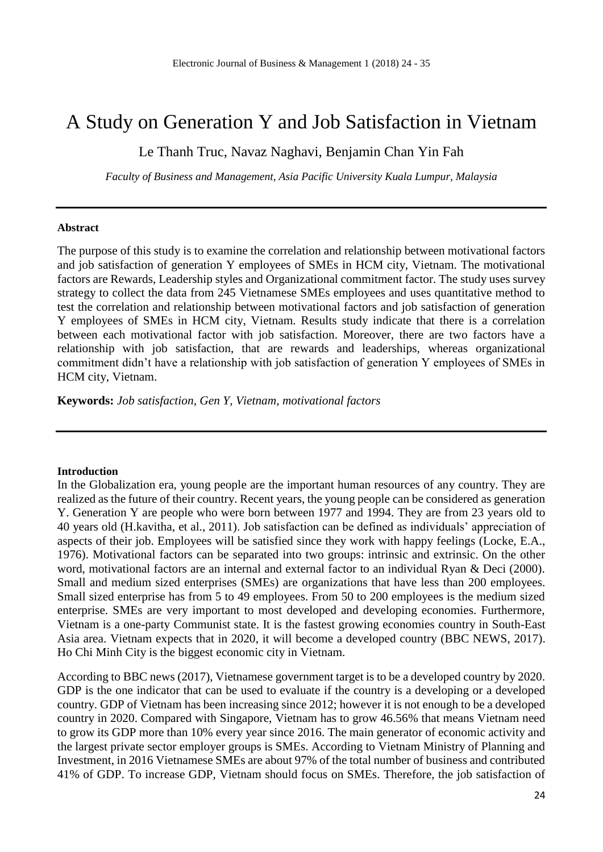# A Study on Generation Y and Job Satisfaction in Vietnam

Le Thanh Truc, Navaz Naghavi, Benjamin Chan Yin Fah

*Faculty of Business and Management, Asia Pacific University Kuala Lumpur, Malaysia*

#### **Abstract**

The purpose of this study is to examine the correlation and relationship between motivational factors and job satisfaction of generation Y employees of SMEs in HCM city, Vietnam. The motivational factors are Rewards, Leadership styles and Organizational commitment factor. The study uses survey strategy to collect the data from 245 Vietnamese SMEs employees and uses quantitative method to test the correlation and relationship between motivational factors and job satisfaction of generation Y employees of SMEs in HCM city, Vietnam. Results study indicate that there is a correlation between each motivational factor with job satisfaction. Moreover, there are two factors have a relationship with job satisfaction, that are rewards and leaderships, whereas organizational commitment didn't have a relationship with job satisfaction of generation Y employees of SMEs in HCM city, Vietnam.

**Keywords:** *Job satisfaction, Gen Y, Vietnam, motivational factors*

#### **Introduction**

In the Globalization era, young people are the important human resources of any country. They are realized as the future of their country. Recent years, the young people can be considered as generation Y. Generation Y are people who were born between 1977 and 1994. They are from 23 years old to 40 years old (H.kavitha, et al., 2011). Job satisfaction can be defined as individuals' appreciation of aspects of their job. Employees will be satisfied since they work with happy feelings (Locke, E.A., 1976). Motivational factors can be separated into two groups: intrinsic and extrinsic. On the other word, motivational factors are an internal and external factor to an individual Ryan & Deci (2000). Small and medium sized enterprises (SMEs) are organizations that have less than 200 employees. Small sized enterprise has from 5 to 49 employees. From 50 to 200 employees is the medium sized enterprise. SMEs are very important to most developed and developing economies. Furthermore, Vietnam is a one-party Communist state. It is the fastest growing economies country in South-East Asia area. Vietnam expects that in 2020, it will become a developed country (BBC NEWS, 2017). Ho Chi Minh City is the biggest economic city in Vietnam.

According to BBC news (2017), Vietnamese government target is to be a developed country by 2020. GDP is the one indicator that can be used to evaluate if the country is a developing or a developed country. GDP of Vietnam has been increasing since 2012; however it is not enough to be a developed country in 2020. Compared with Singapore, Vietnam has to grow 46.56% that means Vietnam need to grow its GDP more than 10% every year since 2016. The main generator of economic activity and the largest private sector employer groups is SMEs. According to Vietnam Ministry of Planning and Investment, in 2016 Vietnamese SMEs are about 97% of the total number of business and contributed 41% of GDP. To increase GDP, Vietnam should focus on SMEs. Therefore, the job satisfaction of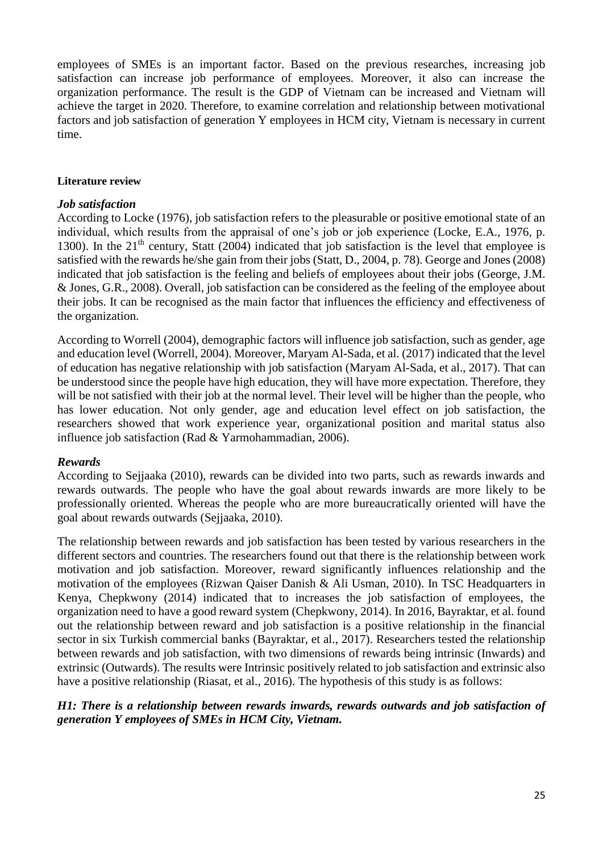employees of SMEs is an important factor. Based on the previous researches, increasing job satisfaction can increase job performance of employees. Moreover, it also can increase the organization performance. The result is the GDP of Vietnam can be increased and Vietnam will achieve the target in 2020. Therefore, to examine correlation and relationship between motivational factors and job satisfaction of generation Y employees in HCM city, Vietnam is necessary in current time.

#### **Literature review**

#### *Job satisfaction*

According to Locke (1976), job satisfaction refers to the pleasurable or positive emotional state of an individual, which results from the appraisal of one's job or job experience (Locke, E.A., 1976, p. 1300). In the  $21<sup>th</sup>$  century, Statt (2004) indicated that job satisfaction is the level that employee is satisfied with the rewards he/she gain from their jobs (Statt, D., 2004, p. 78). George and Jones (2008) indicated that job satisfaction is the feeling and beliefs of employees about their jobs (George, J.M. & Jones, G.R., 2008). Overall, job satisfaction can be considered as the feeling of the employee about their jobs. It can be recognised as the main factor that influences the efficiency and effectiveness of the organization.

According to Worrell (2004), demographic factors will influence job satisfaction, such as gender, age and education level (Worrell, 2004). Moreover, Maryam Al-Sada, et al. (2017) indicated that the level of education has negative relationship with job satisfaction (Maryam Al-Sada, et al., 2017). That can be understood since the people have high education, they will have more expectation. Therefore, they will be not satisfied with their job at the normal level. Their level will be higher than the people, who has lower education. Not only gender, age and education level effect on job satisfaction, the researchers showed that work experience year, organizational position and marital status also influence job satisfaction (Rad & Yarmohammadian, 2006).

#### *Rewards*

According to Sejjaaka (2010), rewards can be divided into two parts, such as rewards inwards and rewards outwards. The people who have the goal about rewards inwards are more likely to be professionally oriented. Whereas the people who are more bureaucratically oriented will have the goal about rewards outwards (Sejjaaka, 2010).

The relationship between rewards and job satisfaction has been tested by various researchers in the different sectors and countries. The researchers found out that there is the relationship between work motivation and job satisfaction. Moreover, reward significantly influences relationship and the motivation of the employees (Rizwan Qaiser Danish & Ali Usman, 2010). In TSC Headquarters in Kenya, Chepkwony (2014) indicated that to increases the job satisfaction of employees, the organization need to have a good reward system (Chepkwony, 2014). In 2016, Bayraktar, et al. found out the relationship between reward and job satisfaction is a positive relationship in the financial sector in six Turkish commercial banks (Bayraktar, et al., 2017). Researchers tested the relationship between rewards and job satisfaction, with two dimensions of rewards being intrinsic (Inwards) and extrinsic (Outwards). The results were Intrinsic positively related to job satisfaction and extrinsic also have a positive relationship (Riasat, et al., 2016). The hypothesis of this study is as follows:

#### *H1: There is a relationship between rewards inwards, rewards outwards and job satisfaction of generation Y employees of SMEs in HCM City, Vietnam.*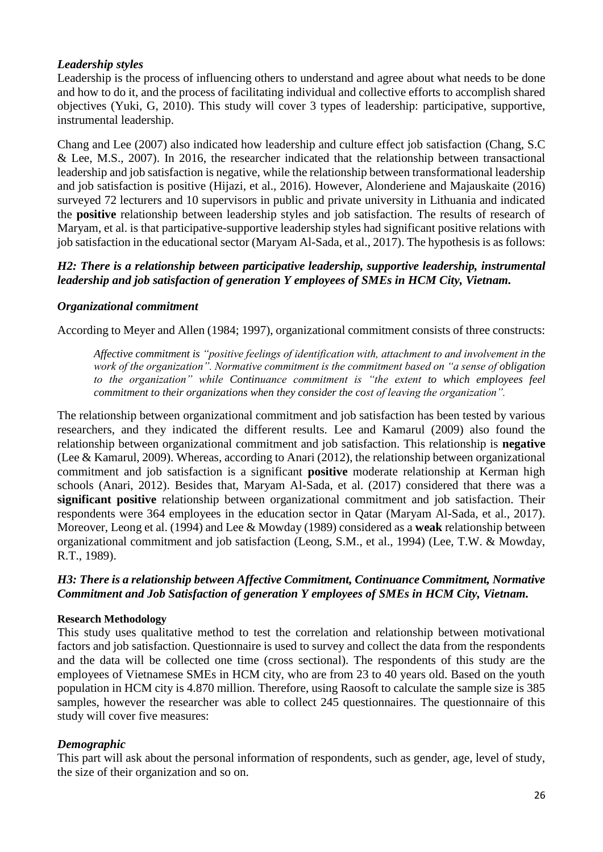# *Leadership styles*

Leadership is the process of influencing others to understand and agree about what needs to be done and how to do it, and the process of facilitating individual and collective efforts to accomplish shared objectives (Yuki, G, 2010). This study will cover 3 types of leadership: participative, supportive, instrumental leadership.

Chang and Lee (2007) also indicated how leadership and culture effect job satisfaction (Chang, S.C & Lee, M.S., 2007). In 2016, the researcher indicated that the relationship between transactional leadership and job satisfaction is negative, while the relationship between transformational leadership and job satisfaction is positive (Hijazi, et al., 2016). However, Alonderiene and Majauskaite (2016) surveyed 72 lecturers and 10 supervisors in public and private university in Lithuania and indicated the **positive** relationship between leadership styles and job satisfaction. The results of research of Maryam, et al. is that participative-supportive leadership styles had significant positive relations with job satisfaction in the educational sector (Maryam Al-Sada, et al., 2017). The hypothesis is as follows:

# *H2: There is a relationship between participative leadership, supportive leadership, instrumental leadership and job satisfaction of generation Y employees of SMEs in HCM City, Vietnam.*

#### *Organizational commitment*

According to Meyer and Allen (1984; 1997), organizational commitment consists of three constructs:

*Affective commitment is "positive feelings of identification with, attachment to and involvement in the work of the organization". Normative commitment is the commitment based on "a sense of obligation to the organization" while Continuance commitment is "the extent to which employees feel commitment to their organizations when they consider the cost of leaving the organization".*

The relationship between organizational commitment and job satisfaction has been tested by various researchers, and they indicated the different results. Lee and Kamarul (2009) also found the relationship between organizational commitment and job satisfaction. This relationship is **negative**  (Lee & Kamarul, 2009). Whereas, according to Anari (2012), the relationship between organizational commitment and job satisfaction is a significant **positive** moderate relationship at Kerman high schools (Anari, 2012). Besides that, Maryam Al-Sada, et al. (2017) considered that there was a **significant positive** relationship between organizational commitment and job satisfaction. Their respondents were 364 employees in the education sector in Qatar (Maryam Al-Sada, et al., 2017). Moreover, Leong et al. (1994) and Lee & Mowday (1989) considered as a **weak** relationship between organizational commitment and job satisfaction (Leong, S.M., et al., 1994) (Lee, T.W. & Mowday, R.T., 1989).

# *H3: There is a relationship between Affective Commitment, Continuance Commitment, Normative Commitment and Job Satisfaction of generation Y employees of SMEs in HCM City, Vietnam.*

#### **Research Methodology**

This study uses qualitative method to test the correlation and relationship between motivational factors and job satisfaction. Questionnaire is used to survey and collect the data from the respondents and the data will be collected one time (cross sectional). The respondents of this study are the employees of Vietnamese SMEs in HCM city, who are from 23 to 40 years old. Based on the youth population in HCM city is 4.870 million. Therefore, using Raosoft to calculate the sample size is 385 samples, however the researcher was able to collect 245 questionnaires. The questionnaire of this study will cover five measures:

# *Demographic*

This part will ask about the personal information of respondents, such as gender, age, level of study, the size of their organization and so on.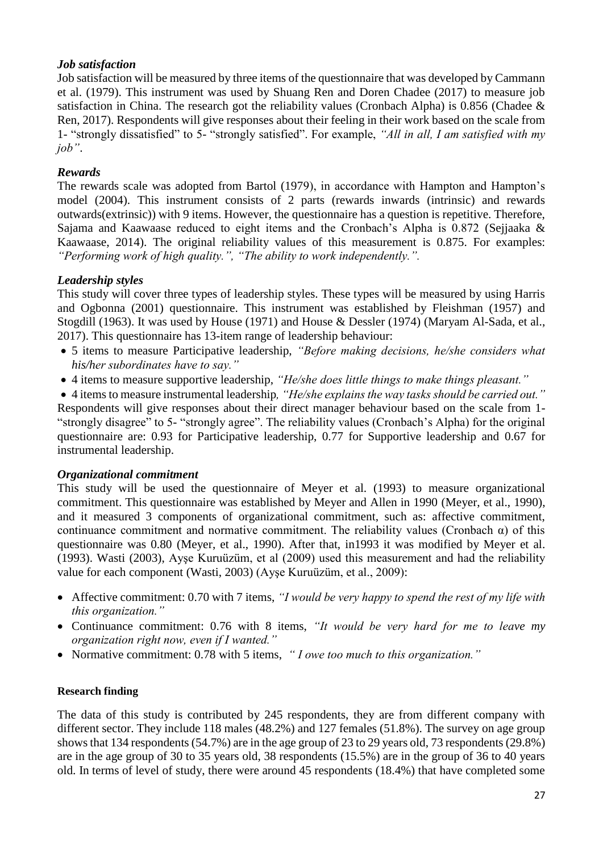# *Job satisfaction*

Job satisfaction will be measured by three items of the questionnaire that was developed by Cammann et al. (1979). This instrument was used by Shuang Ren and Doren Chadee (2017) to measure job satisfaction in China. The research got the reliability values (Cronbach Alpha) is 0.856 (Chadee & Ren, 2017). Respondents will give responses about their feeling in their work based on the scale from 1- "strongly dissatisfied" to 5- "strongly satisfied". For example, *"All in all, I am satisfied with my job"*.

# *Rewards*

The rewards scale was adopted from Bartol (1979), in accordance with Hampton and Hampton's model (2004). This instrument consists of 2 parts (rewards inwards (intrinsic) and rewards outwards(extrinsic)) with 9 items. However, the questionnaire has a question is repetitive. Therefore, Sajama and Kaawaase reduced to eight items and the Cronbach's Alpha is 0.872 (Sejjaaka & Kaawaase, 2014). The original reliability values of this measurement is 0.875. For examples: *"Performing work of high quality.", "The ability to work independently.".*

# *Leadership styles*

This study will cover three types of leadership styles. These types will be measured by using Harris and Ogbonna (2001) questionnaire. This instrument was established by Fleishman (1957) and Stogdill (1963). It was used by House (1971) and House & Dessler (1974) (Maryam Al-Sada, et al., 2017). This questionnaire has 13-item range of leadership behaviour:

- 5 items to measure Participative leadership, *"Before making decisions, he/she considers what his/her subordinates have to say."*
- 4 items to measure supportive leadership, *"He/she does little things to make things pleasant."*

4 items to measure instrumental leadership*, "He/she explains the way tasks should be carried out."*

Respondents will give responses about their direct manager behaviour based on the scale from 1- "strongly disagree" to 5- "strongly agree". The reliability values (Cronbach's Alpha) for the original questionnaire are: 0.93 for Participative leadership, 0.77 for Supportive leadership and 0.67 for instrumental leadership.

# *Organizational commitment*

This study will be used the questionnaire of Meyer et al. (1993) to measure organizational commitment. This questionnaire was established by Meyer and Allen in 1990 (Meyer, et al., 1990), and it measured 3 components of organizational commitment, such as: affective commitment, continuance commitment and normative commitment. The reliability values (Cronbach  $\alpha$ ) of this questionnaire was 0.80 (Meyer, et al., 1990). After that, in1993 it was modified by Meyer et al. (1993). Wasti (2003), Ayşe Kuruüzüm, et al (2009) used this measurement and had the reliability value for each component (Wasti, 2003) (Ayşe Kuruüzüm, et al., 2009):

- Affective commitment: 0.70 with 7 items, *"I would be very happy to spend the rest of my life with this organization."*
- Continuance commitment: 0.76 with 8 items, *"It would be very hard for me to leave my organization right now, even if I wanted."*
- Normative commitment: 0.78 with 5 items, *" I owe too much to this organization."*

# **Research finding**

The data of this study is contributed by 245 respondents, they are from different company with different sector. They include 118 males (48.2%) and 127 females (51.8%). The survey on age group shows that 134 respondents (54.7%) are in the age group of 23 to 29 years old, 73 respondents (29.8%) are in the age group of 30 to 35 years old, 38 respondents (15.5%) are in the group of 36 to 40 years old. In terms of level of study, there were around 45 respondents (18.4%) that have completed some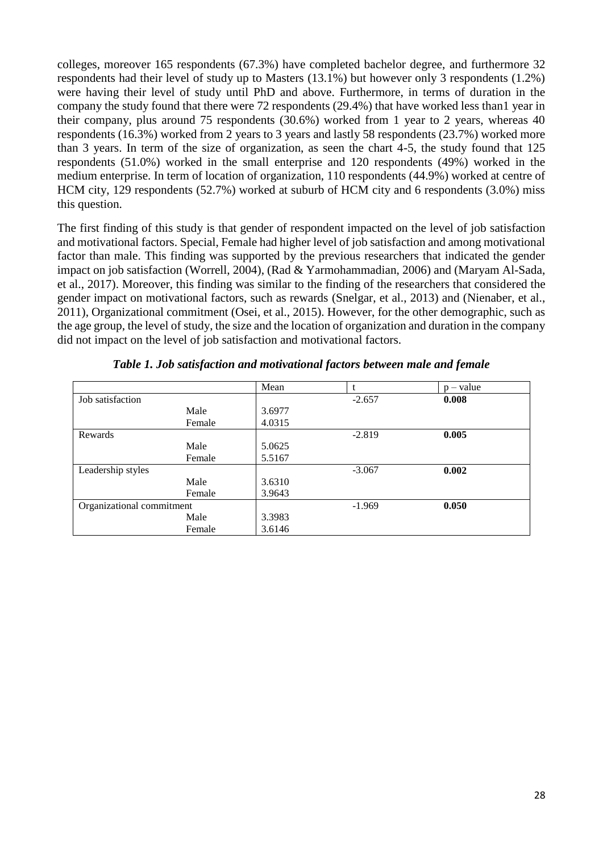colleges, moreover 165 respondents (67.3%) have completed bachelor degree, and furthermore 32 respondents had their level of study up to Masters (13.1%) but however only 3 respondents (1.2%) were having their level of study until PhD and above. Furthermore, in terms of duration in the company the study found that there were 72 respondents (29.4%) that have worked less than1 year in their company, plus around 75 respondents (30.6%) worked from 1 year to 2 years, whereas 40 respondents (16.3%) worked from 2 years to 3 years and lastly 58 respondents (23.7%) worked more than 3 years. In term of the size of organization, as seen the chart 4-5, the study found that 125 respondents (51.0%) worked in the small enterprise and 120 respondents (49%) worked in the medium enterprise. In term of location of organization, 110 respondents (44.9%) worked at centre of HCM city, 129 respondents (52.7%) worked at suburb of HCM city and 6 respondents (3.0%) miss this question.

The first finding of this study is that gender of respondent impacted on the level of job satisfaction and motivational factors. Special, Female had higher level of job satisfaction and among motivational factor than male. This finding was supported by the previous researchers that indicated the gender impact on job satisfaction (Worrell, 2004), (Rad & Yarmohammadian, 2006) and (Maryam Al-Sada, et al., 2017). Moreover, this finding was similar to the finding of the researchers that considered the gender impact on motivational factors, such as rewards (Snelgar, et al., 2013) and (Nienaber, et al., 2011), Organizational commitment (Osei, et al., 2015). However, for the other demographic, such as the age group, the level of study, the size and the location of organization and duration in the company did not impact on the level of job satisfaction and motivational factors.

|                           |        | Mean   |          | $p - value$ |
|---------------------------|--------|--------|----------|-------------|
| Job satisfaction          |        |        | $-2.657$ | 0.008       |
|                           | Male   | 3.6977 |          |             |
|                           | Female | 4.0315 |          |             |
| Rewards                   |        |        | $-2.819$ | 0.005       |
|                           | Male   | 5.0625 |          |             |
|                           | Female | 5.5167 |          |             |
| Leadership styles         |        |        | $-3.067$ | 0.002       |
|                           | Male   | 3.6310 |          |             |
|                           | Female | 3.9643 |          |             |
| Organizational commitment |        |        | $-1.969$ | 0.050       |
|                           | Male   | 3.3983 |          |             |
|                           | Female | 3.6146 |          |             |

|  | Table 1. Job satisfaction and motivational factors between male and female |  |  |
|--|----------------------------------------------------------------------------|--|--|
|  |                                                                            |  |  |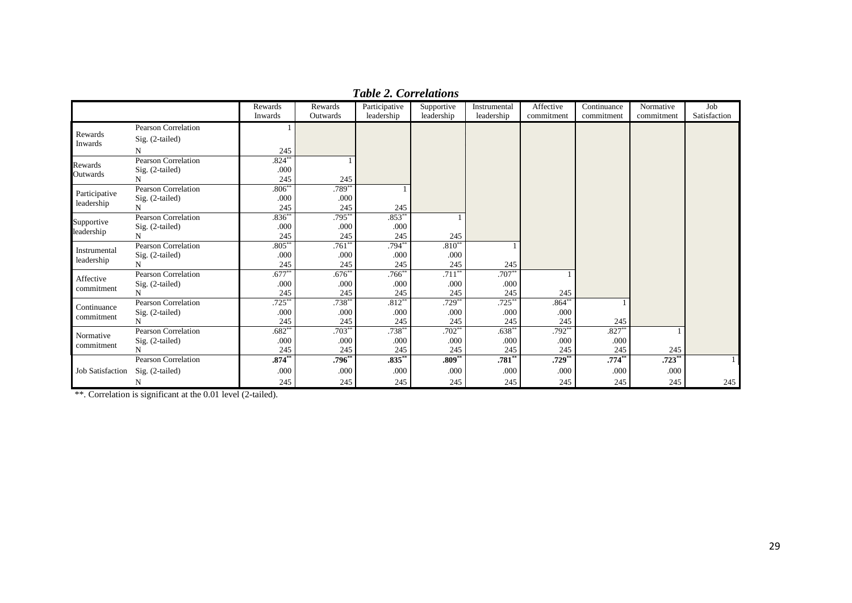|                         |                            | Rewards   | Rewards     | Participative | Supportive | Instrumental | Affective  | Continuance | Normative  | Job          |
|-------------------------|----------------------------|-----------|-------------|---------------|------------|--------------|------------|-------------|------------|--------------|
|                         |                            | Inwards   | Outwards    | leadership    | leadership | leadership   | commitment | commitment  | commitment | Satisfaction |
|                         | Pearson Correlation        |           |             |               |            |              |            |             |            |              |
| Rewards<br>Inwards      | Sig. (2-tailed)            |           |             |               |            |              |            |             |            |              |
|                         |                            | 245       |             |               |            |              |            |             |            |              |
| Rewards                 | <b>Pearson Correlation</b> | $.824**$  |             |               |            |              |            |             |            |              |
| Outwards                | Sig. (2-tailed)            | .000      |             |               |            |              |            |             |            |              |
|                         | N                          | 245       | 245         |               |            |              |            |             |            |              |
| Participative           | <b>Pearson Correlation</b> | $.806***$ | $.789**$    |               |            |              |            |             |            |              |
| leadership              | Sig. (2-tailed)            | .000      | .000        |               |            |              |            |             |            |              |
|                         | N                          | 245       | 245         | 245           |            |              |            |             |            |              |
| Supportive              | Pearson Correlation        | $.836**$  | $.795***$   | $.853**$      |            |              |            |             |            |              |
| leadership              | Sig. (2-tailed)            | .000      | .000        | .000          |            |              |            |             |            |              |
|                         |                            | 245       | 245         | 245           | 245        |              |            |             |            |              |
| Instrumental            | <b>Pearson Correlation</b> | $.805***$ | $.761**$    | $.794**$      | $.810**$   |              |            |             |            |              |
| leadership              | Sig. (2-tailed)            | .000      | .000        | .000          | .000       |              |            |             |            |              |
|                         | N                          | 245       | 245         | 245           | 245        | 245          |            |             |            |              |
| Affective               | Pearson Correlation        | $.677***$ | $.676^{**}$ | $.766^{**}$   | $.711***$  | $.707**$     |            |             |            |              |
| commitment              | Sig. (2-tailed)            | .000      | .000        | .000          | .000       | .000         |            |             |            |              |
|                         | N                          | 245       | 245         | 245           | 245        | 245          | 245        |             |            |              |
| Continuance             | <b>Pearson Correlation</b> | $.725***$ | $.738^{**}$ | $.812**$      | $.729**$   | $.725***$    | $.864**$   |             |            |              |
| commitment              | Sig. (2-tailed)            | .000      | .000        | .000          | .000       | .000         | .000       |             |            |              |
|                         | N                          | 245       | 245         | 245           | 245        | 245          | 245        | 245         |            |              |
| Normative               | <b>Pearson Correlation</b> | $.682**$  | $.703*$     | $.738**$      | $.702**$   | $.638*$      | $.792**$   | $.827**$    |            |              |
| commitment              | Sig. (2-tailed)            | .000      | .000        | .000          | .000       | .000         | .000       | .000        |            |              |
|                         |                            | 245       | 245         | 245           | 245        | 245          | 245        | 245         | 245        |              |
|                         | <b>Pearson Correlation</b> | $.874***$ | $.796**$    | $.835**$      | $.809**$   | $.781**$     | $.729**$   | $.774**$    | $.723**$   |              |
| <b>Job Satisfaction</b> | Sig. (2-tailed)            | .000      | .000        | .000          | .000       | .000         | .000       | .000        | .000       |              |
|                         | N                          | 245       | 245         | 245           | 245        | 245          | 245        | 245         | 245        | 245          |

*Table 2. Correlations*

\*\*. Correlation is significant at the 0.01 level (2-tailed).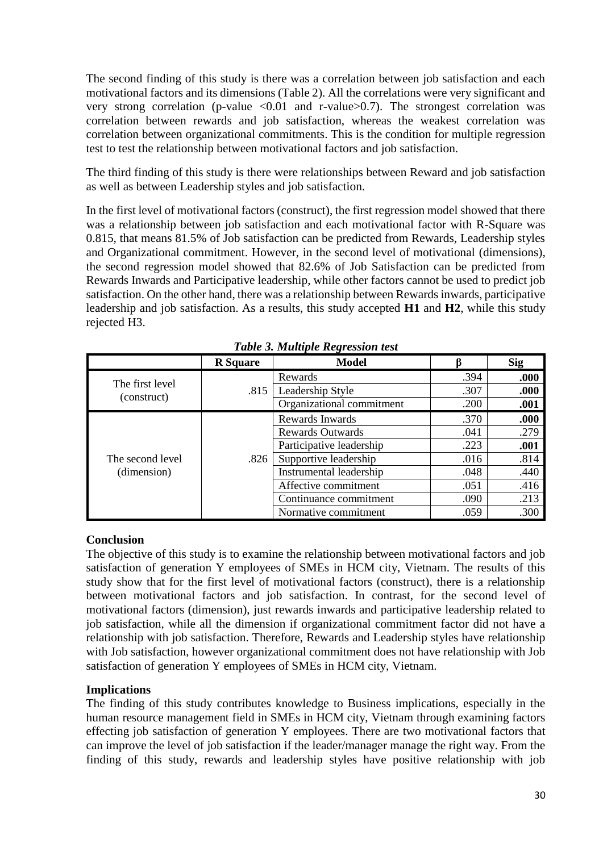The second finding of this study is there was a correlation between job satisfaction and each motivational factors and its dimensions (Table 2). All the correlations were very significant and very strong correlation (p-value  $\langle 0.01 \rangle$  and r-value  $\langle 0.7 \rangle$ ). The strongest correlation was correlation between rewards and job satisfaction, whereas the weakest correlation was correlation between organizational commitments. This is the condition for multiple regression test to test the relationship between motivational factors and job satisfaction.

The third finding of this study is there were relationships between Reward and job satisfaction as well as between Leadership styles and job satisfaction.

In the first level of motivational factors (construct), the first regression model showed that there was a relationship between job satisfaction and each motivational factor with R-Square was 0.815, that means 81.5% of Job satisfaction can be predicted from Rewards, Leadership styles and Organizational commitment. However, in the second level of motivational (dimensions), the second regression model showed that 82.6% of Job Satisfaction can be predicted from Rewards Inwards and Participative leadership, while other factors cannot be used to predict job satisfaction. On the other hand, there was a relationship between Rewards inwards, participative leadership and job satisfaction. As a results, this study accepted **H1** and **H2**, while this study rejected H3.

|                                 | <b>R</b> Square | <b>Model</b>              |      | <b>Sig</b> |
|---------------------------------|-----------------|---------------------------|------|------------|
| The first level<br>(construct)  |                 | Rewards                   | .394 | .000       |
|                                 | .815            | Leadership Style          | .307 | .000       |
|                                 |                 | Organizational commitment | .200 | .001       |
| The second level<br>(dimension) |                 | Rewards Inwards           | .370 | .000       |
|                                 | .826            | <b>Rewards Outwards</b>   | .041 | .279       |
|                                 |                 | Participative leadership  | .223 | .001       |
|                                 |                 | Supportive leadership     | .016 | .814       |
|                                 |                 | Instrumental leadership   | .048 | .440       |
|                                 |                 | Affective commitment      | .051 | .416       |
|                                 |                 | Continuance commitment    | .090 | .213       |
|                                 |                 | Normative commitment      | .059 | .300       |

*Table 3. Multiple Regression test*

# **Conclusion**

The objective of this study is to examine the relationship between motivational factors and job satisfaction of generation Y employees of SMEs in HCM city, Vietnam. The results of this study show that for the first level of motivational factors (construct), there is a relationship between motivational factors and job satisfaction. In contrast, for the second level of motivational factors (dimension), just rewards inwards and participative leadership related to job satisfaction, while all the dimension if organizational commitment factor did not have a relationship with job satisfaction. Therefore, Rewards and Leadership styles have relationship with Job satisfaction, however organizational commitment does not have relationship with Job satisfaction of generation Y employees of SMEs in HCM city, Vietnam.

# **Implications**

The finding of this study contributes knowledge to Business implications, especially in the human resource management field in SMEs in HCM city, Vietnam through examining factors effecting job satisfaction of generation Y employees. There are two motivational factors that can improve the level of job satisfaction if the leader/manager manage the right way. From the finding of this study, rewards and leadership styles have positive relationship with job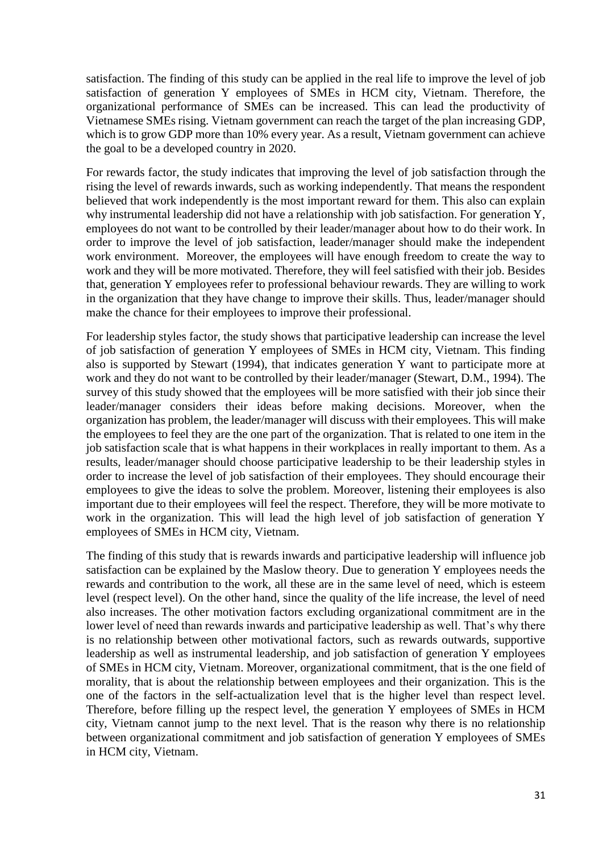satisfaction. The finding of this study can be applied in the real life to improve the level of job satisfaction of generation Y employees of SMEs in HCM city, Vietnam. Therefore, the organizational performance of SMEs can be increased. This can lead the productivity of Vietnamese SMEs rising. Vietnam government can reach the target of the plan increasing GDP, which is to grow GDP more than 10% every year. As a result, Vietnam government can achieve the goal to be a developed country in 2020.

For rewards factor, the study indicates that improving the level of job satisfaction through the rising the level of rewards inwards, such as working independently. That means the respondent believed that work independently is the most important reward for them. This also can explain why instrumental leadership did not have a relationship with job satisfaction. For generation Y, employees do not want to be controlled by their leader/manager about how to do their work. In order to improve the level of job satisfaction, leader/manager should make the independent work environment. Moreover, the employees will have enough freedom to create the way to work and they will be more motivated. Therefore, they will feel satisfied with their job. Besides that, generation Y employees refer to professional behaviour rewards. They are willing to work in the organization that they have change to improve their skills. Thus, leader/manager should make the chance for their employees to improve their professional.

For leadership styles factor, the study shows that participative leadership can increase the level of job satisfaction of generation Y employees of SMEs in HCM city, Vietnam. This finding also is supported by Stewart (1994), that indicates generation Y want to participate more at work and they do not want to be controlled by their leader/manager (Stewart, D.M., 1994). The survey of this study showed that the employees will be more satisfied with their job since their leader/manager considers their ideas before making decisions. Moreover, when the organization has problem, the leader/manager will discuss with their employees. This will make the employees to feel they are the one part of the organization. That is related to one item in the job satisfaction scale that is what happens in their workplaces in really important to them. As a results, leader/manager should choose participative leadership to be their leadership styles in order to increase the level of job satisfaction of their employees. They should encourage their employees to give the ideas to solve the problem. Moreover, listening their employees is also important due to their employees will feel the respect. Therefore, they will be more motivate to work in the organization. This will lead the high level of job satisfaction of generation Y employees of SMEs in HCM city, Vietnam.

The finding of this study that is rewards inwards and participative leadership will influence job satisfaction can be explained by the Maslow theory. Due to generation Y employees needs the rewards and contribution to the work, all these are in the same level of need, which is esteem level (respect level). On the other hand, since the quality of the life increase, the level of need also increases. The other motivation factors excluding organizational commitment are in the lower level of need than rewards inwards and participative leadership as well. That's why there is no relationship between other motivational factors, such as rewards outwards, supportive leadership as well as instrumental leadership, and job satisfaction of generation Y employees of SMEs in HCM city, Vietnam. Moreover, organizational commitment, that is the one field of morality, that is about the relationship between employees and their organization. This is the one of the factors in the self-actualization level that is the higher level than respect level. Therefore, before filling up the respect level, the generation Y employees of SMEs in HCM city, Vietnam cannot jump to the next level. That is the reason why there is no relationship between organizational commitment and job satisfaction of generation Y employees of SMEs in HCM city, Vietnam.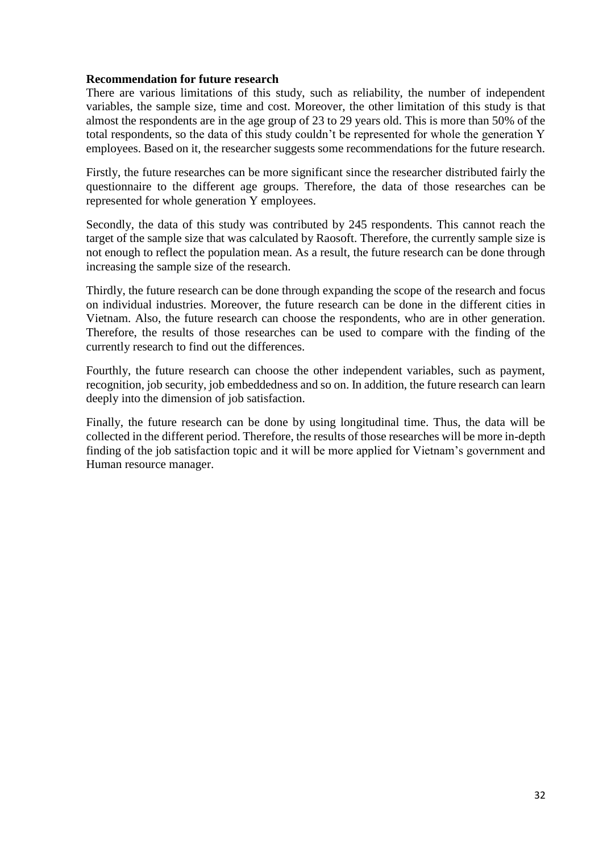#### **Recommendation for future research**

There are various limitations of this study, such as reliability, the number of independent variables, the sample size, time and cost. Moreover, the other limitation of this study is that almost the respondents are in the age group of 23 to 29 years old. This is more than 50% of the total respondents, so the data of this study couldn't be represented for whole the generation Y employees. Based on it, the researcher suggests some recommendations for the future research.

Firstly, the future researches can be more significant since the researcher distributed fairly the questionnaire to the different age groups. Therefore, the data of those researches can be represented for whole generation Y employees.

Secondly, the data of this study was contributed by 245 respondents. This cannot reach the target of the sample size that was calculated by Raosoft. Therefore, the currently sample size is not enough to reflect the population mean. As a result, the future research can be done through increasing the sample size of the research.

Thirdly, the future research can be done through expanding the scope of the research and focus on individual industries. Moreover, the future research can be done in the different cities in Vietnam. Also, the future research can choose the respondents, who are in other generation. Therefore, the results of those researches can be used to compare with the finding of the currently research to find out the differences.

Fourthly, the future research can choose the other independent variables, such as payment, recognition, job security, job embeddedness and so on. In addition, the future research can learn deeply into the dimension of job satisfaction.

Finally, the future research can be done by using longitudinal time. Thus, the data will be collected in the different period. Therefore, the results of those researches will be more in-depth finding of the job satisfaction topic and it will be more applied for Vietnam's government and Human resource manager.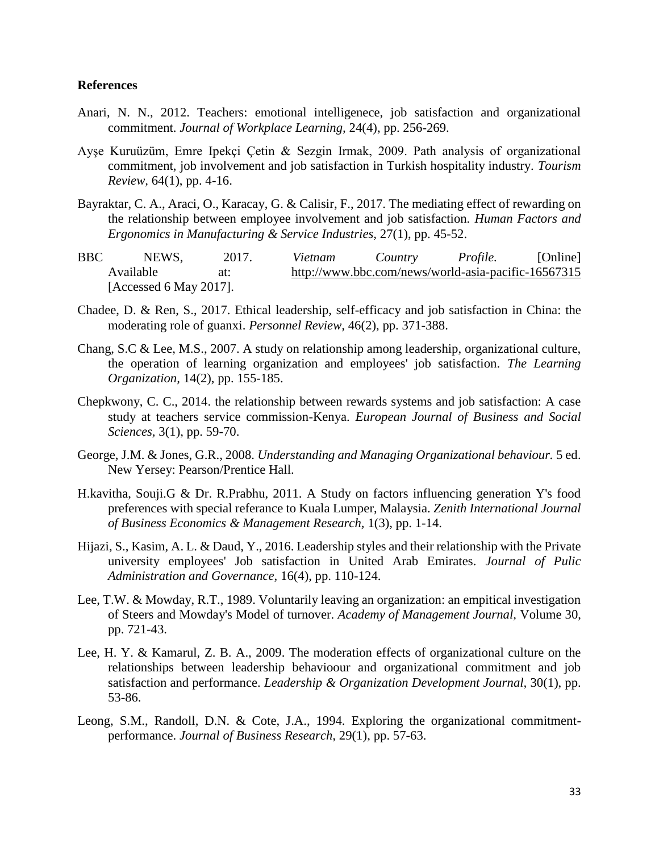#### **References**

- Anari, N. N., 2012. Teachers: emotional intelligenece, job satisfaction and organizational commitment. *Journal of Workplace Learning,* 24(4), pp. 256-269.
- Ayşe Kuruüzüm, Emre Ipekçi Çetin & Sezgin Irmak, 2009. Path analysis of organizational commitment, job involvement and job satisfaction in Turkish hospitality industry. *Tourism Review,* 64(1), pp. 4-16.
- Bayraktar, C. A., Araci, O., Karacay, G. & Calisir, F., 2017. The mediating effect of rewarding on the relationship between employee involvement and job satisfaction. *Human Factors and Ergonomics in Manufacturing & Service Industries,* 27(1), pp. 45-52.
- BBC NEWS, 2017. *Vietnam Country Profile.* [Online] Available at: http://www.bbc.com/news/world-asia-pacific-16567315 [Accessed 6 May 2017].
- Chadee, D. & Ren, S., 2017. Ethical leadership, self-efficacy and job satisfaction in China: the moderating role of guanxi. *Personnel Review,* 46(2), pp. 371-388.
- Chang, S.C & Lee, M.S., 2007. A study on relationship among leadership, organizational culture, the operation of learning organization and employees' job satisfaction. *The Learning Organization,* 14(2), pp. 155-185.
- Chepkwony, C. C., 2014. the relationship between rewards systems and job satisfaction: A case study at teachers service commission-Kenya. *European Journal of Business and Social Sciences,* 3(1), pp. 59-70.
- George, J.M. & Jones, G.R., 2008. *Understanding and Managing Organizational behaviour.* 5 ed. New Yersey: Pearson/Prentice Hall.
- H.kavitha, Souji.G & Dr. R.Prabhu, 2011. A Study on factors influencing generation Y's food preferences with special referance to Kuala Lumper, Malaysia. *Zenith International Journal of Business Economics & Management Research,* 1(3), pp. 1-14.
- Hijazi, S., Kasim, A. L. & Daud, Y., 2016. Leadership styles and their relationship with the Private university employees' Job satisfaction in United Arab Emirates. *Journal of Pulic Administration and Governance,* 16(4), pp. 110-124.
- Lee, T.W. & Mowday, R.T., 1989. Voluntarily leaving an organization: an empitical investigation of Steers and Mowday's Model of turnover. *Academy of Management Journal,* Volume 30, pp. 721-43.
- Lee, H. Y. & Kamarul, Z. B. A., 2009. The moderation effects of organizational culture on the relationships between leadership behavioour and organizational commitment and job satisfaction and performance. *Leadership & Organization Development Journal,* 30(1), pp. 53-86.
- Leong, S.M., Randoll, D.N. & Cote, J.A., 1994. Exploring the organizational commitmentperformance. *Journal of Business Research,* 29(1), pp. 57-63.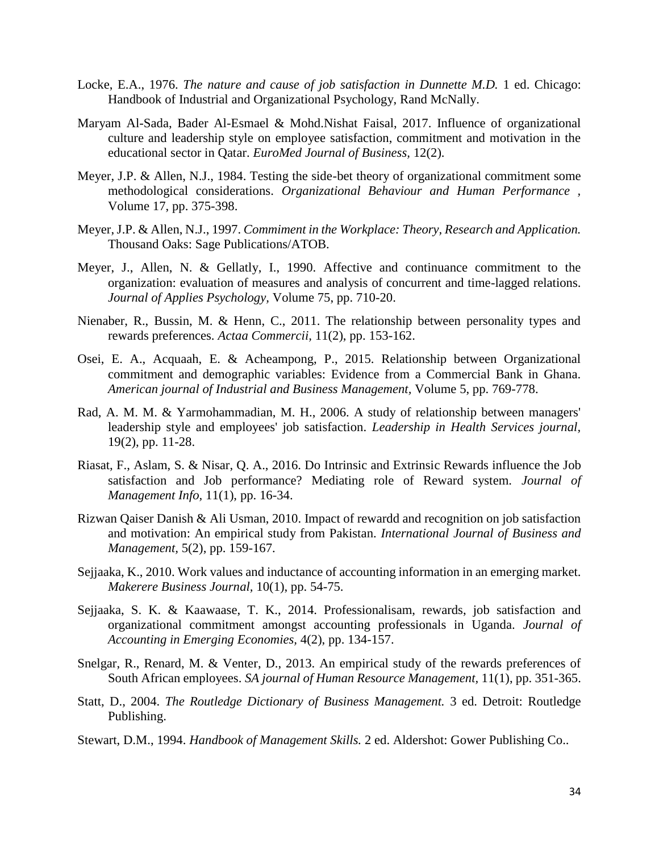- Locke, E.A., 1976. *The nature and cause of job satisfaction in Dunnette M.D.* 1 ed. Chicago: Handbook of Industrial and Organizational Psychology, Rand McNally.
- Maryam Al-Sada, Bader Al-Esmael & Mohd.Nishat Faisal, 2017. Influence of organizational culture and leadership style on employee satisfaction, commitment and motivation in the educational sector in Qatar. *EuroMed Journal of Business,* 12(2).
- Meyer, J.P. & Allen, N.J., 1984. Testing the side-bet theory of organizational commitment some methodological considerations. *Organizational Behaviour and Human Performance ,*  Volume 17, pp. 375-398.
- Meyer, J.P. & Allen, N.J., 1997. *Commiment in the Workplace: Theory, Research and Application.*  Thousand Oaks: Sage Publications/ATOB.
- Meyer, J., Allen, N. & Gellatly, I., 1990. Affective and continuance commitment to the organization: evaluation of measures and analysis of concurrent and time-lagged relations. *Journal of Applies Psychology,* Volume 75, pp. 710-20.
- Nienaber, R., Bussin, M. & Henn, C., 2011. The relationship between personality types and rewards preferences. *Actaa Commercii,* 11(2), pp. 153-162.
- Osei, E. A., Acquaah, E. & Acheampong, P., 2015. Relationship between Organizational commitment and demographic variables: Evidence from a Commercial Bank in Ghana. *American journal of Industrial and Business Management,* Volume 5, pp. 769-778.
- Rad, A. M. M. & Yarmohammadian, M. H., 2006. A study of relationship between managers' leadership style and employees' job satisfaction. *Leadership in Health Services journal,*  19(2), pp. 11-28.
- Riasat, F., Aslam, S. & Nisar, Q. A., 2016. Do Intrinsic and Extrinsic Rewards influence the Job satisfaction and Job performance? Mediating role of Reward system. *Journal of Management Info,* 11(1), pp. 16-34.
- Rizwan Qaiser Danish & Ali Usman, 2010. Impact of rewardd and recognition on job satisfaction and motivation: An empirical study from Pakistan. *International Journal of Business and Management,* 5(2), pp. 159-167.
- Sejjaaka, K., 2010. Work values and inductance of accounting information in an emerging market. *Makerere Business Journal,* 10(1), pp. 54-75.
- Sejjaaka, S. K. & Kaawaase, T. K., 2014. Professionalisam, rewards, job satisfaction and organizational commitment amongst accounting professionals in Uganda. *Journal of Accounting in Emerging Economies,* 4(2), pp. 134-157.
- Snelgar, R., Renard, M. & Venter, D., 2013. An empirical study of the rewards preferences of South African employees. *SA journal of Human Resource Management,* 11(1), pp. 351-365.
- Statt, D., 2004. *The Routledge Dictionary of Business Management.* 3 ed. Detroit: Routledge Publishing.
- Stewart, D.M., 1994. *Handbook of Management Skills.* 2 ed. Aldershot: Gower Publishing Co..